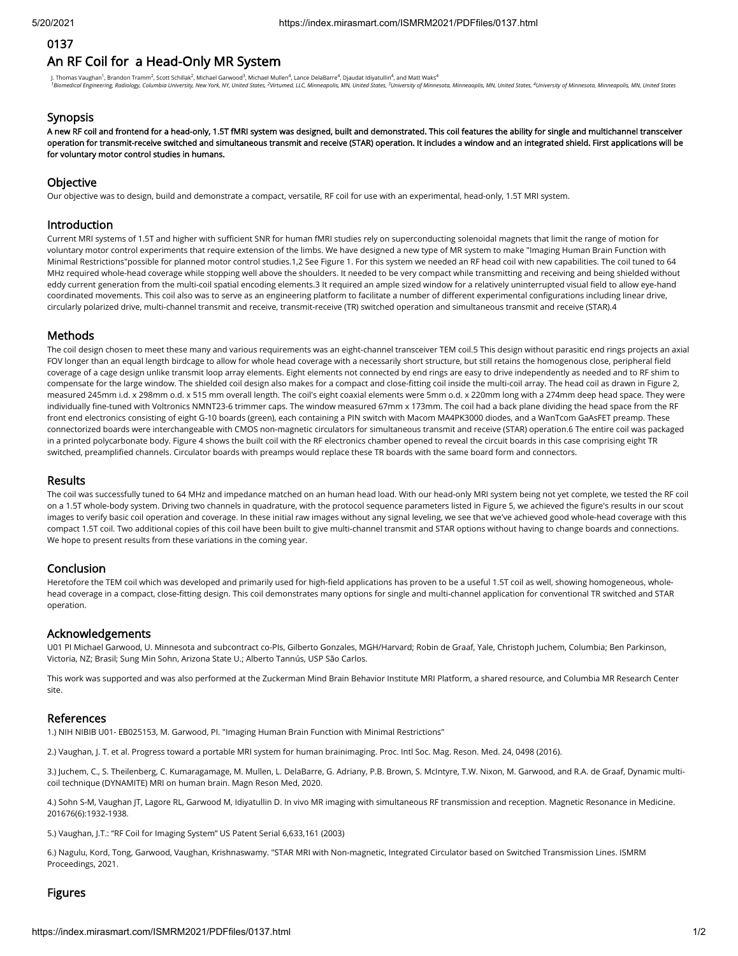# 0137

# An RF Coil for a Head-Only MR System

J. Thomas Vaughan<sup>1</sup>, Brandon Tramm<sup>2</sup>, Scott Schillak<sup>2</sup>, Michael Garwood<sup>3</sup>, Michael Mullen<sup>4</sup>, Lance DelaBarre<sup>4</sup>, Djaudat Idiyatullin<sup>4</sup>, and Matt Waks<sup>4</sup> <sup>1</sup>Biomedical Engineering, Radiology, Columbia University, New York, NY, United States, <sup>2</sup>Virtumed, LLC, Minneapolis, MN, United States, <sup>3</sup>University of Minnesota, Minneapolis, MN, United States, Autoris, 40 aniversity o

#### **Synopsis**

A new RF coil and frontend for a head-only, 1.5T fMRI system was designed, built and demonstrated. This coil features the ability for single and multichannel transceiver operation for transmit-receive switched and simultaneous transmit and receive (STAR) operation. It includes a window and an integrated shield. First applications will be for voluntary motor control studies in humans.

#### **Objective**

Our objective was to design, build and demonstrate a compact, versatile, RF coil for use with an experimental, head-only, 1.5T MRI system.

## Introduction

Current MRI systems of 1.5T and higher with sufficient SNR for human fMRI studies rely on superconducting solenoidal magnets that limit the range of motion for voluntary motor control experiments that require extension of the limbs. We have designed a new type of MR system to make "Imaging Human Brain Function with Minimal Restrictions"possible for planned motor control studies.1,2 See Figure 1. For this system we needed an RF head coil with new capabilities. The coil tuned to 64 MHz required whole-head coverage while stopping well above the shoulders. It needed to be very compact while transmitting and receiving and being shielded without eddy current generation from the multi-coil spatial encoding elements.3 It required an ample sized window for a relatively uninterrupted visual field to allow eye-hand coordinated movements. This coil also was to serve as an engineering platform to facilitate a number of different experimental configurations including linear drive, circularly polarized drive, multi-channel transmit and receive, transmit-receive (TR) switched operation and simultaneous transmit and receive (STAR).4

## Methods

The coil design chosen to meet these many and various requirements was an eight-channel transceiver TEM coil.5 This design without parasitic end rings projects an axial FOV longer than an equal length birdcage to allow for whole head coverage with a necessarily short structure, but still retains the homogenous close, peripheral field coverage of a cage design unlike transmit loop array elements. Eight elements not connected by end rings are easy to drive independently as needed and to RF shim to compensate for the large window. The shielded coil design also makes for a compact and close-tting coil inside the multi-coil array. The head coil as drawn in Figure 2, measured 245mm i.d. x 298mm o.d. x 515 mm overall length. The coil's eight coaxial elements were 5mm o.d. x 220mm long with a 274mm deep head space. They were individually fine-tuned with Voltronics NMNT23-6 trimmer caps. The window measured 67mm x 173mm. The coil had a back plane dividing the head space from the RF front end electronics consisting of eight G-10 boards (green), each containing a PIN switch with Macom MA4PK3000 diodes, and a WanTcom GaAsFET preamp. These connectorized boards were interchangeable with CMOS non-magnetic circulators for simultaneous transmit and receive (STAR) operation.6 The entire coil was packaged in a printed polycarbonate body. Figure 4 shows the built coil with the RF electronics chamber opened to reveal the circuit boards in this case comprising eight TR switched, preamplied channels. Circulator boards with preamps would replace these TR boards with the same board form and connectors.

#### Results

The coil was successfully tuned to 64 MHz and impedance matched on an human head load. With our head-only MRI system being not yet complete, we tested the RF coil on a 1.5T whole-body system. Driving two channels in quadrature, with the protocol sequence parameters listed in Figure 5, we achieved the figure's results in our scout images to verify basic coil operation and coverage. In these initial raw images without any signal leveling, we see that we've achieved good whole-head coverage with this compact 1.5T coil. Two additional copies of this coil have been built to give multi-channel transmit and STAR options without having to change boards and connections. We hope to present results from these variations in the coming year.

# Conclusion

Heretofore the TEM coil which was developed and primarily used for high-field applications has proven to be a useful 1.5T coil as well, showing homogeneous, wholehead coverage in a compact, close-tting design. This coil demonstrates many options for single and multi-channel application for conventional TR switched and STAR operation.

#### Acknowledgements

U01 PI Michael Garwood, U. Minnesota and subcontract co-PIs, Gilberto Gonzales, MGH/Harvard; Robin de Graaf, Yale, Christoph Juchem, Columbia; Ben Parkinson, Victoria, NZ; Brasil; Sung Min Sohn, Arizona State U.; Alberto Tannús, USP São Carlos.

This work was supported and was also performed at the Zuckerman Mind Brain Behavior Institute MRI Platform, a shared resource, and Columbia MR Research Center site.

## References

1.) NIH NIBIB U01- EB025153, M. Garwood, PI. "Imaging Human Brain Function with Minimal Restrictions"

2.) Vaughan, J. T. et al. Progress toward a portable MRI system for human brainimaging. Proc. Intl Soc. Mag. Reson. Med. 24, 0498 (2016).

3.) Juchem, C., S. Theilenberg, C. Kumaragamage, M. Mullen, L. DelaBarre, G. Adriany, P.B. Brown, S. McIntyre, T.W. Nixon, M. Garwood, and R.A. de Graaf, Dynamic multicoil technique (DYNAMITE) MRI on human brain. Magn Reson Med, 2020.

4.) Sohn S-M, Vaughan JT, Lagore RL, Garwood M, Idiyatullin D. In vivo MR imaging with simultaneous RF transmission and reception. Magnetic Resonance in Medicine. 201676(6):1932-1938.

5.) Vaughan, J.T.: "RF Coil for Imaging System" US Patent Serial 6,633,161 (2003)

6.) Nagulu, Kord, Tong, Garwood, Vaughan, Krishnaswamy. "STAR MRI with Non-magnetic, Integrated Circulator based on Switched Transmission Lines. ISMRM Proceedings, 2021.

# Figures